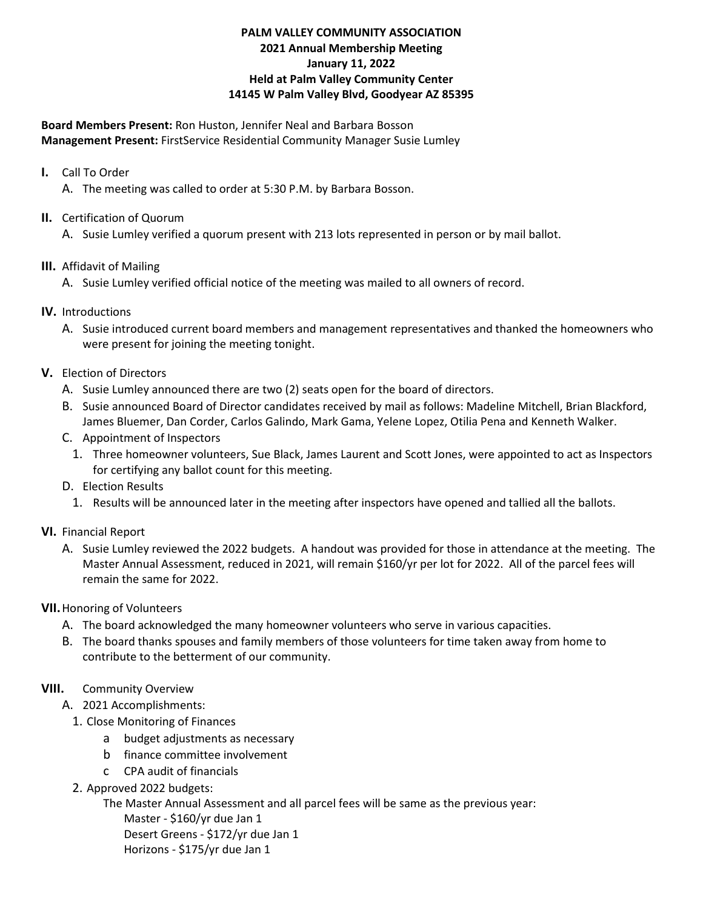## **PALM VALLEY COMMUNITY ASSOCIATION 2021 Annual Membership Meeting January 11, 2022 Held at Palm Valley Community Center 14145 W Palm Valley Blvd, Goodyear AZ 85395**

**Board Members Present:** Ron Huston, Jennifer Neal and Barbara Bosson **Management Present:** FirstService Residential Community Manager Susie Lumley

- **I.** Call To Order
	- A. The meeting was called to order at 5:30 P.M. by Barbara Bosson.
- **II.** Certification of Quorum
	- A. Susie Lumley verified a quorum present with 213 lots represented in person or by mail ballot.
- **III.** Affidavit of Mailing
	- A. Susie Lumley verified official notice of the meeting was mailed to all owners of record.
- **IV.** Introductions
	- A. Susie introduced current board members and management representatives and thanked the homeowners who were present for joining the meeting tonight.
- **V.** Election of Directors
	- A. Susie Lumley announced there are two (2) seats open for the board of directors.
	- B. Susie announced Board of Director candidates received by mail as follows: Madeline Mitchell, Brian Blackford, James Bluemer, Dan Corder, Carlos Galindo, Mark Gama, Yelene Lopez, Otilia Pena and Kenneth Walker.
	- C. Appointment of Inspectors
		- 1. Three homeowner volunteers, Sue Black, James Laurent and Scott Jones, were appointed to act as Inspectors for certifying any ballot count for this meeting.
	- D. Election Results
		- 1. Results will be announced later in the meeting after inspectors have opened and tallied all the ballots.
- **VI.** Financial Report
	- A. Susie Lumley reviewed the 2022 budgets. A handout was provided for those in attendance at the meeting. The Master Annual Assessment, reduced in 2021, will remain \$160/yr per lot for 2022. All of the parcel fees will remain the same for 2022.
- **VII.**Honoring of Volunteers
	- A. The board acknowledged the many homeowner volunteers who serve in various capacities.
	- B. The board thanks spouses and family members of those volunteers for time taken away from home to contribute to the betterment of our community.
- **VIII.** Community Overview
	- A. 2021 Accomplishments:
		- 1. Close Monitoring of Finances
			- a budget adjustments as necessary
			- b finance committee involvement
			- c CPA audit of financials
		- 2. Approved 2022 budgets:

The Master Annual Assessment and all parcel fees will be same as the previous year:

Master - \$160/yr due Jan 1 Desert Greens - \$172/yr due Jan 1 Horizons - \$175/yr due Jan 1